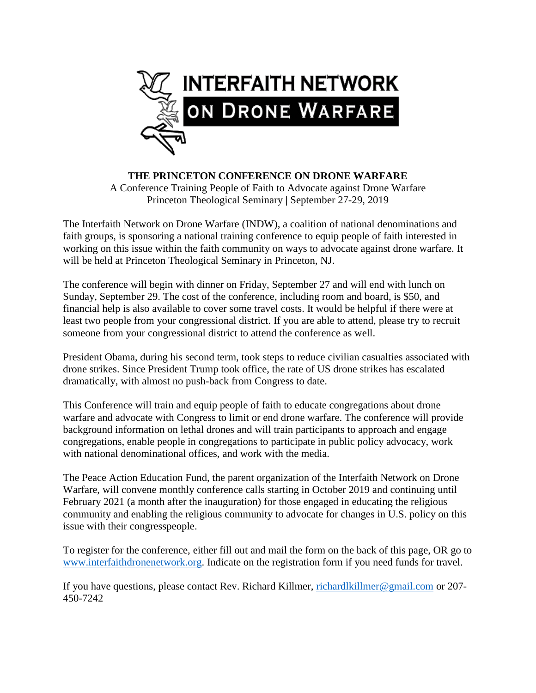

**THE PRINCETON CONFERENCE ON DRONE WARFARE** A Conference Training People of Faith to Advocate against Drone Warfare Princeton Theological Seminary **|** September 27-29, 2019

The Interfaith Network on Drone Warfare (INDW), a coalition of national denominations and faith groups, is sponsoring a national training conference to equip people of faith interested in working on this issue within the faith community on ways to advocate against drone warfare. It will be held at Princeton Theological Seminary in Princeton, NJ.

The conference will begin with dinner on Friday, September 27 and will end with lunch on Sunday, September 29. The cost of the conference, including room and board, is \$50, and financial help is also available to cover some travel costs. It would be helpful if there were at least two people from your congressional district. If you are able to attend, please try to recruit someone from your congressional district to attend the conference as well.

President Obama, during his second term, took steps to reduce civilian casualties associated with drone strikes. Since President Trump took office, the rate of US drone strikes has escalated dramatically, with almost no push-back from Congress to date.

This Conference will train and equip people of faith to educate congregations about drone warfare and advocate with Congress to limit or end drone warfare. The conference will provide background information on lethal drones and will train participants to approach and engage congregations, enable people in congregations to participate in public policy advocacy, work with national denominational offices, and work with the media.

The Peace Action Education Fund, the parent organization of the Interfaith Network on Drone Warfare, will convene monthly conference calls starting in October 2019 and continuing until February 2021 (a month after the inauguration) for those engaged in educating the religious community and enabling the religious community to advocate for changes in U.S. policy on this issue with their congresspeople.

To register for the conference, either fill out and mail the form on the back of this page, OR go to [www.interfaithdronenetwork.org.](http://www.interfaithdronenetwork.org/) Indicate on the registration form if you need funds for travel.

If you have questions, please contact Rev. Richard Killmer, [richardlkillmer@gmail.com](mailto:richardlkillmer@gmail.com) or 207- 450-7242